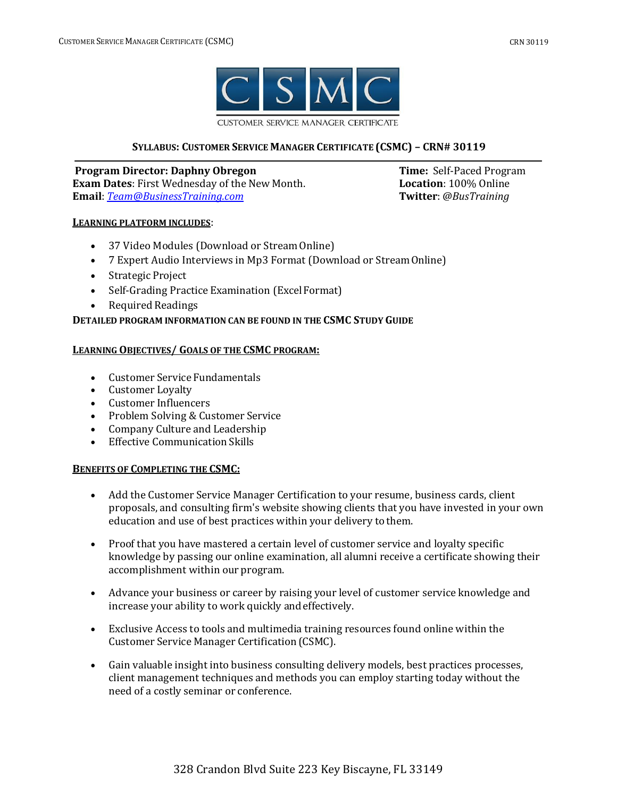

**CUSTOMER SERVICE MANAGER CERTIFICATE** 

# **SYLLABUS: CUSTOMER SERVICE MANAGER CERTIFICATE (CSMC) – CRN# 30119**

**Program Director: Daphny Obregon Time:** Self-Paced Program **Exam Dates**: First Wednesday of the New Month. **Location**: 100% Online **Email**: *[Team@BusinessTraining.com](mailto:Team@BusinessTraining.com)* **Twitter**: *@BusTraining*

### **LEARNING PLATFORM INCLUDES**:

- 37 Video Modules (Download or Stream Online)
- 7 Expert Audio Interviews in Mp3 Format (Download or StreamOnline)
- Strategic Project
- Self-Grading Practice Examination (ExcelFormat)
- Required Readings

# **DETAILED PROGRAM INFORMATION CAN BE FOUND IN THE CSMC STUDY GUIDE**

### **LEARNING OBJECTIVES/ GOALS OF THE CSMC PROGRAM:**

- Customer Service Fundamentals
- Customer Loyalty
- Customer Influencers
- Problem Solving & Customer Service
- Company Culture and Leadership
- Effective Communication Skills

# **BENEFITS OF COMPLETING THE CSMC:**

- Add the Customer Service Manager Certification to your resume, business cards, client proposals, and consulting firm's website showing clients that you have invested in your own education and use of best practices within your delivery to them.
- Proof that you have mastered a certain level of customer service and loyalty specific knowledge by passing our online examination, all alumni receive a certificate showing their accomplishment within our program.
- Advance your business or career by raising your level of customer service knowledge and increase your ability to work quickly andeffectively.
- Exclusive Access to tools and multimedia training resources found online within the Customer Service Manager Certification (CSMC).
- Gain valuable insight into business consulting delivery models, best practices processes, client management techniques and methods you can employ starting today without the need of a costly seminar or conference.